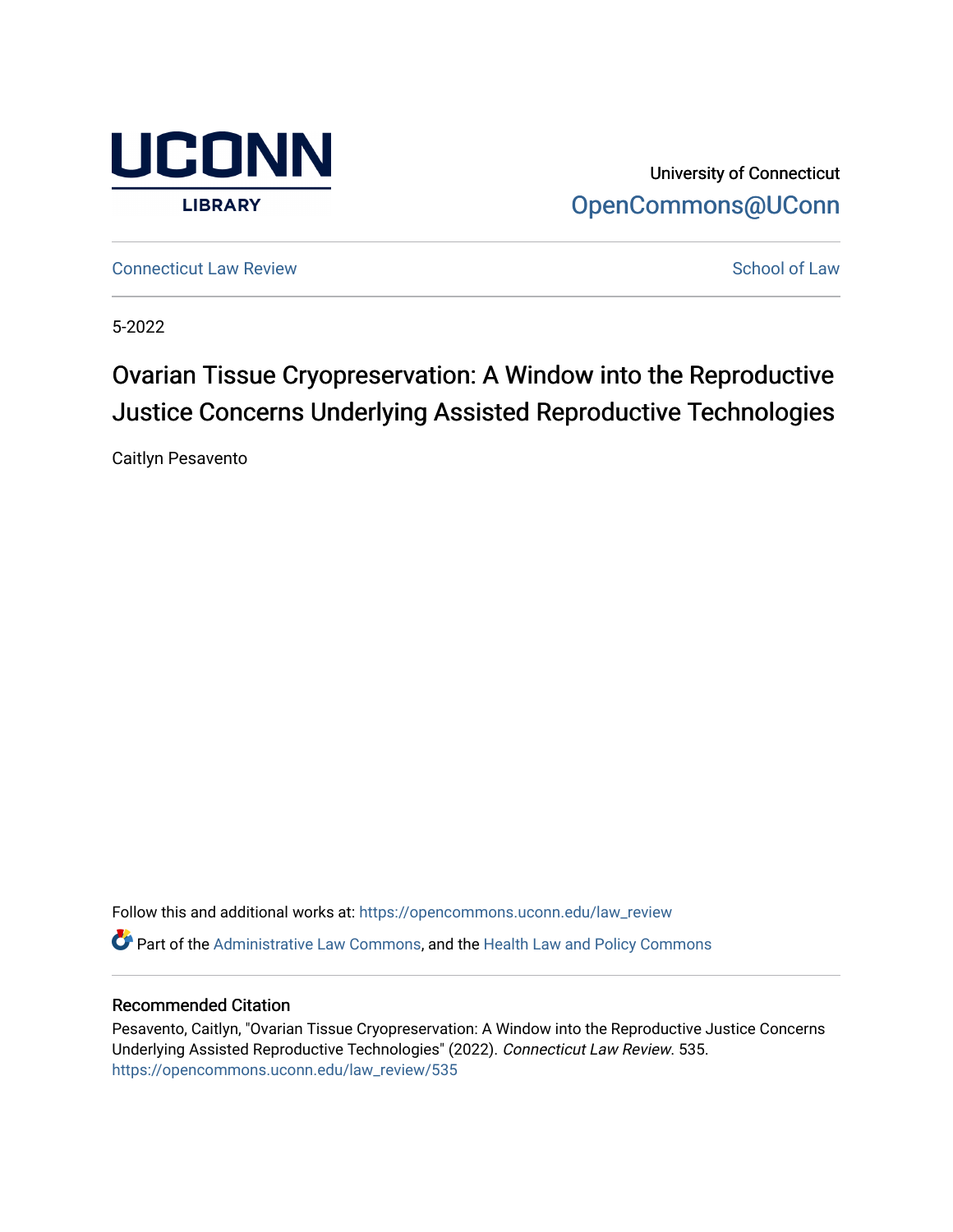

University of Connecticut [OpenCommons@UConn](https://opencommons.uconn.edu/) 

**[Connecticut Law Review](https://opencommons.uconn.edu/law_review) [School of Law](https://opencommons.uconn.edu/sol) Review School of Law School of Law School of Law School of Law School of Law School of Law School of Law School of Law School of Law School of Law School of Law School of Law School of** 

5-2022

# Ovarian Tissue Cryopreservation: A Window into the Reproductive Justice Concerns Underlying Assisted Reproductive Technologies

Caitlyn Pesavento

Follow this and additional works at: [https://opencommons.uconn.edu/law\\_review](https://opencommons.uconn.edu/law_review?utm_source=opencommons.uconn.edu%2Flaw_review%2F535&utm_medium=PDF&utm_campaign=PDFCoverPages) Part of the [Administrative Law Commons,](https://network.bepress.com/hgg/discipline/579?utm_source=opencommons.uconn.edu%2Flaw_review%2F535&utm_medium=PDF&utm_campaign=PDFCoverPages) and the [Health Law and Policy Commons](https://network.bepress.com/hgg/discipline/901?utm_source=opencommons.uconn.edu%2Flaw_review%2F535&utm_medium=PDF&utm_campaign=PDFCoverPages) 

### Recommended Citation

Pesavento, Caitlyn, "Ovarian Tissue Cryopreservation: A Window into the Reproductive Justice Concerns Underlying Assisted Reproductive Technologies" (2022). Connecticut Law Review. 535. [https://opencommons.uconn.edu/law\\_review/535](https://opencommons.uconn.edu/law_review/535?utm_source=opencommons.uconn.edu%2Flaw_review%2F535&utm_medium=PDF&utm_campaign=PDFCoverPages)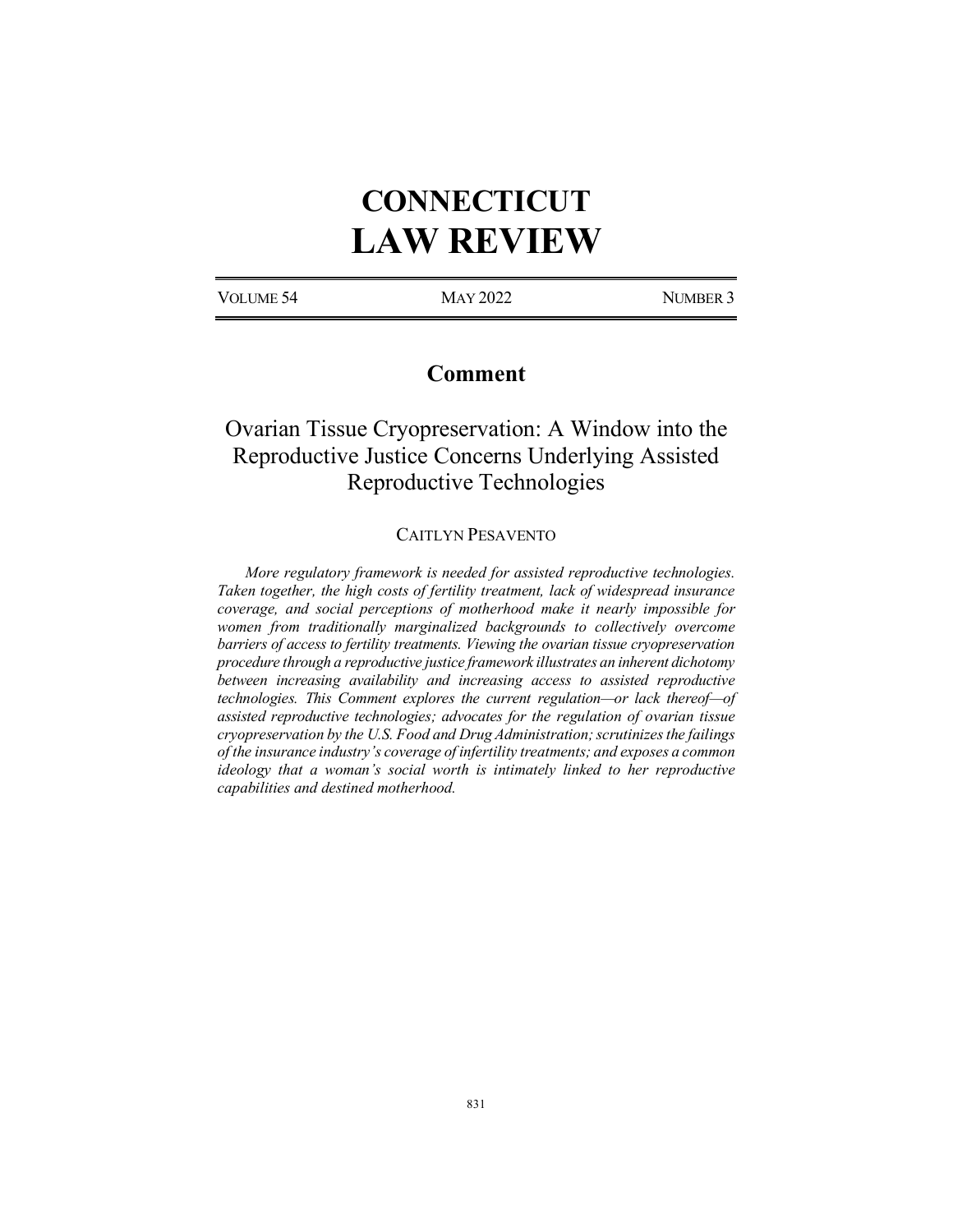# **CONNECTICUT LAW REVIEW**

VOLUME 54 MAY 2022 NUMBER 3

# **Comment**

# Ovarian Tissue Cryopreservation: A Window into the Reproductive Justice Concerns Underlying Assisted Reproductive Technologies

#### CAITLYN PESAVENTO

*More regulatory framework is needed for assisted reproductive technologies. Taken together, the high costs of fertility treatment, lack of widespread insurance coverage, and social perceptions of motherhood make it nearly impossible for women from traditionally marginalized backgrounds to collectively overcome barriers of access to fertility treatments. Viewing the ovarian tissue cryopreservation procedure through a reproductive justice framework illustrates an inherent dichotomy between increasing availability and increasing access to assisted reproductive technologies. This Comment explores the current regulation—or lack thereof—of assisted reproductive technologies; advocates for the regulation of ovarian tissue cryopreservation by the U.S. Food and Drug Administration; scrutinizesthe failings of the insurance industry's coverage of infertility treatments; and exposes a common ideology that a woman's social worth is intimately linked to her reproductive capabilities and destined motherhood.*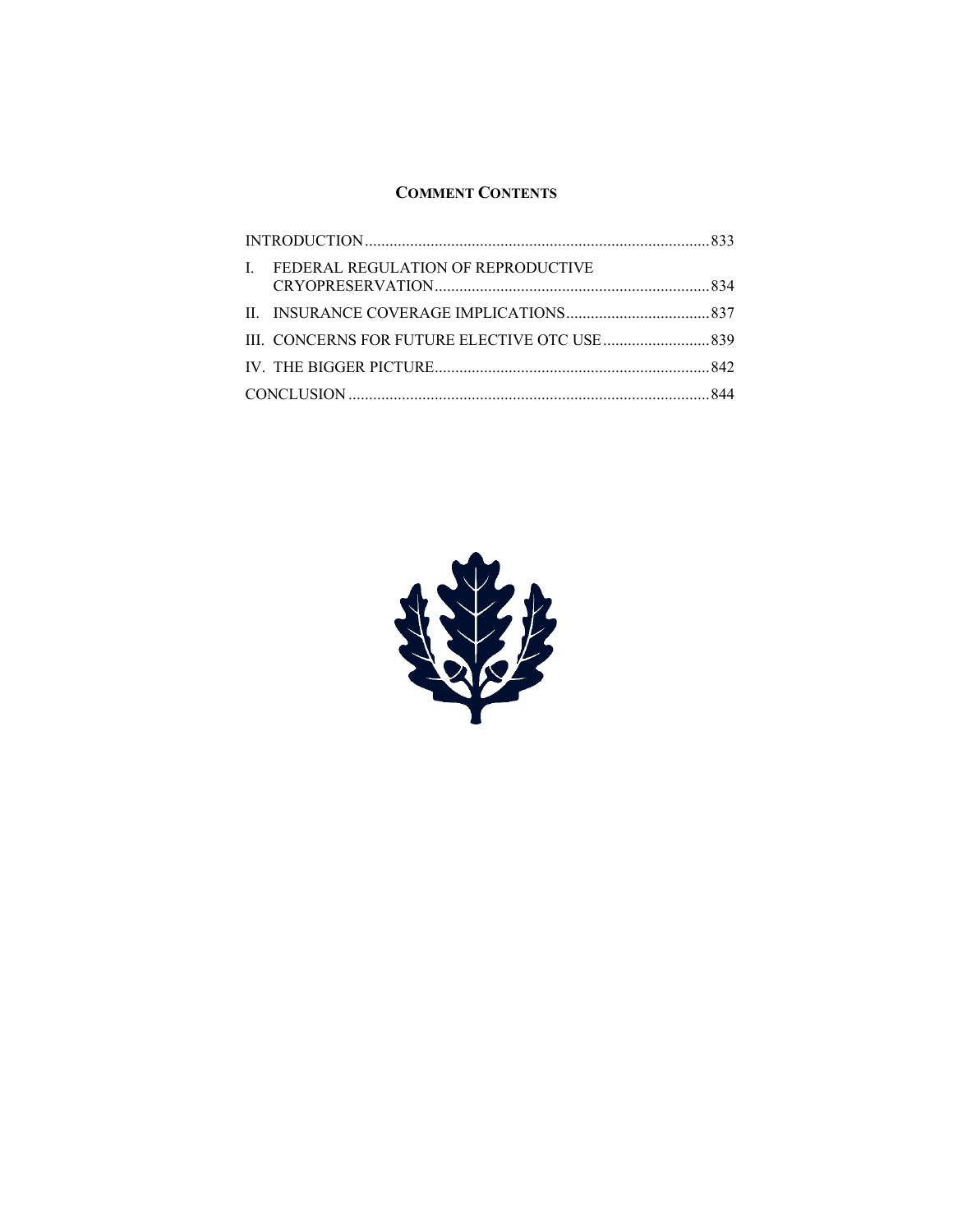## **COMMENT CONTENTS**

| $\mathbf{I}$ | FEDERAL REGULATION OF REPRODUCTIVE |  |
|--------------|------------------------------------|--|
|              |                                    |  |
|              |                                    |  |
|              |                                    |  |
|              |                                    |  |

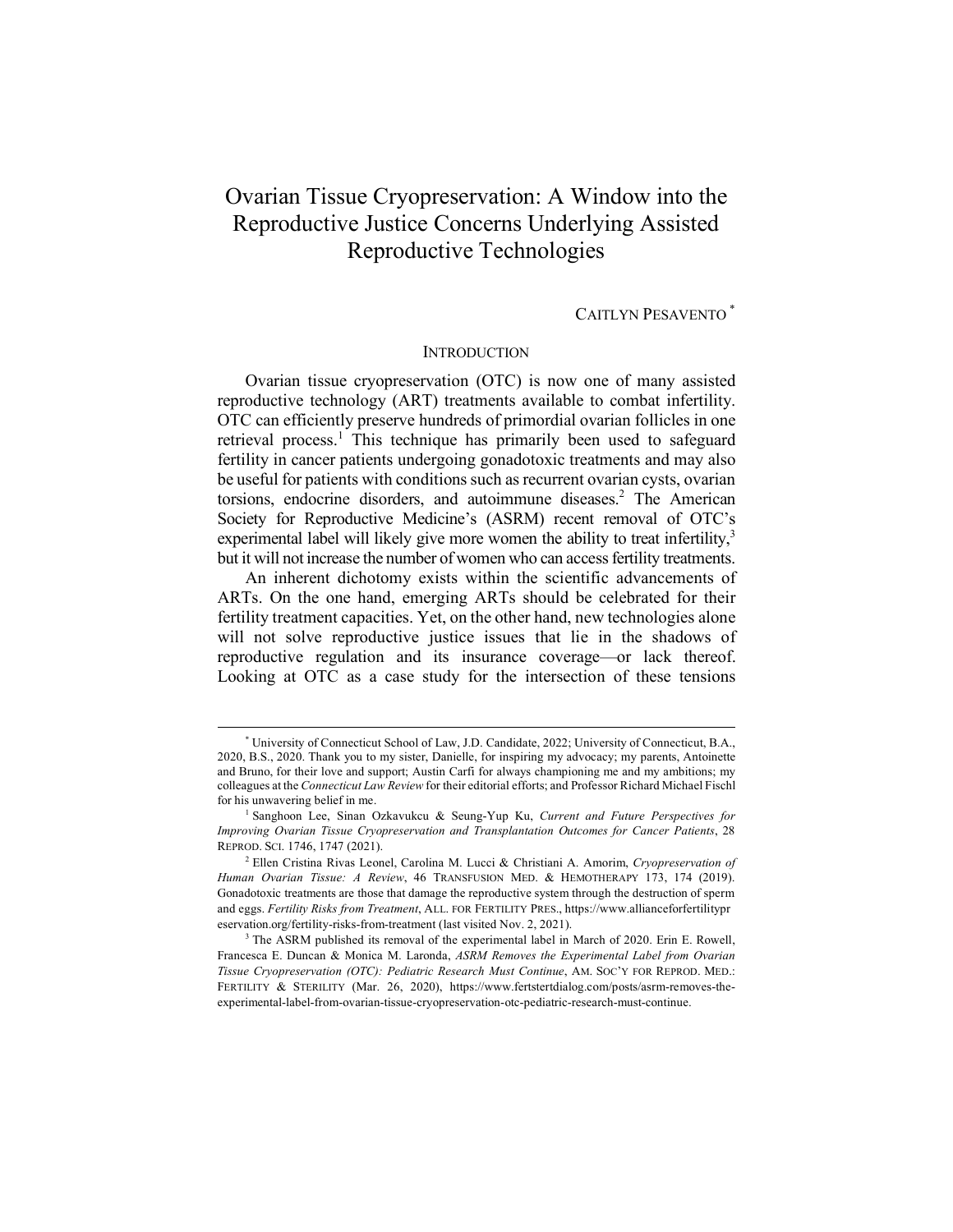# Ovarian Tissue Cryopreservation: A Window into the Reproductive Justice Concerns Underlying Assisted Reproductive Technologies

## CAITLYN PESAVENTO \*

#### **INTRODUCTION**

Ovarian tissue cryopreservation (OTC) is now one of many assisted reproductive technology (ART) treatments available to combat infertility. OTC can efficiently preserve hundreds of primordial ovarian follicles in one retrieval process.<sup>1</sup> This technique has primarily been used to safeguard fertility in cancer patients undergoing gonadotoxic treatments and may also be useful for patients with conditions such as recurrent ovarian cysts, ovarian torsions, endocrine disorders, and autoimmune diseases.<sup>2</sup> The American Society for Reproductive Medicine's (ASRM) recent removal of OTC's experimental label will likely give more women the ability to treat infertility, $3$ but it will not increase the number of women who can access fertility treatments.

An inherent dichotomy exists within the scientific advancements of ARTs. On the one hand, emerging ARTs should be celebrated for their fertility treatment capacities. Yet, on the other hand, new technologies alone will not solve reproductive justice issues that lie in the shadows of reproductive regulation and its insurance coverage—or lack thereof. Looking at OTC as a case study for the intersection of these tensions

 <sup>\*</sup> University of Connecticut School of Law, J.D. Candidate, 2022; University of Connecticut, B.A., 2020, B.S., 2020. Thank you to my sister, Danielle, for inspiring my advocacy; my parents, Antoinette and Bruno, for their love and support; Austin Carfi for always championing me and my ambitions; my colleagues at the *Connecticut Law Review* for their editorial efforts; and Professor Richard Michael Fischl for his unwavering belief in me.

<sup>1</sup> Sanghoon Lee, Sinan Ozkavukcu & Seung-Yup Ku, *Current and Future Perspectives for Improving Ovarian Tissue Cryopreservation and Transplantation Outcomes for Cancer Patients*, 28 REPROD. SCI. 1746, 1747 (2021).

<sup>2</sup> Ellen Cristina Rivas Leonel, Carolina M. Lucci & Christiani A. Amorim, *Cryopreservation of Human Ovarian Tissue: A Review*, 46 TRANSFUSION MED. & HEMOTHERAPY 173, 174 (2019). Gonadotoxic treatments are those that damage the reproductive system through the destruction of sperm and eggs. *Fertility Risks from Treatment*, ALL. FOR FERTILITY PRES., https://www.allianceforfertilitypr eservation.org/fertility-risks-from-treatment (last visited Nov. 2, 2021).

<sup>&</sup>lt;sup>3</sup> The ASRM published its removal of the experimental label in March of 2020. Erin E. Rowell, Francesca E. Duncan & Monica M. Laronda, *ASRM Removes the Experimental Label from Ovarian Tissue Cryopreservation (OTC): Pediatric Research Must Continue*, AM. SOC'Y FOR REPROD. MED.: FERTILITY & STERILITY (Mar. 26, 2020), https://www.fertstertdialog.com/posts/asrm-removes-theexperimental-label-from-ovarian-tissue-cryopreservation-otc-pediatric-research-must-continue.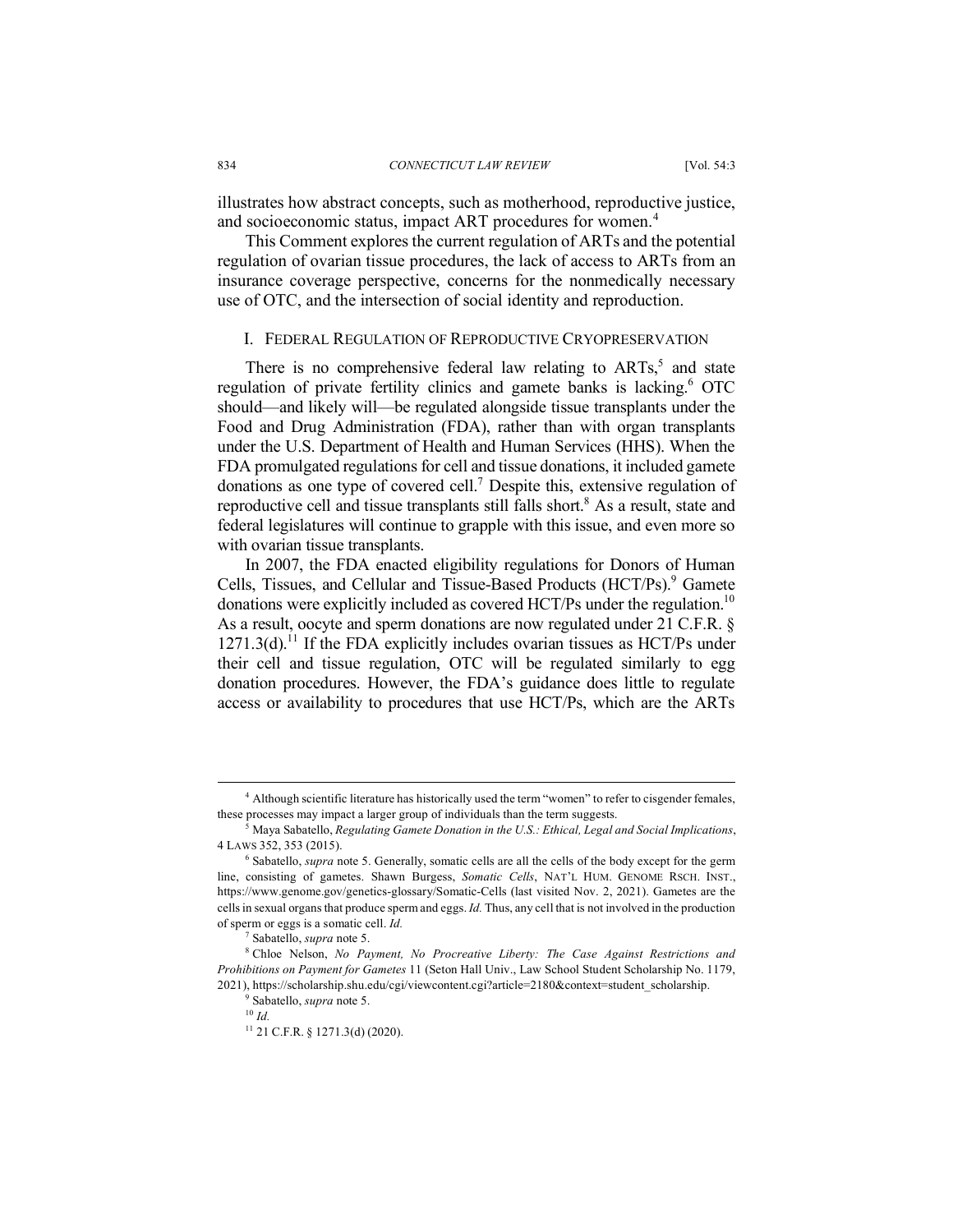illustrates how abstract concepts, such as motherhood, reproductive justice, and socioeconomic status, impact ART procedures for women.<sup>4</sup>

This Comment explores the current regulation of ARTs and the potential regulation of ovarian tissue procedures, the lack of access to ARTs from an insurance coverage perspective, concerns for the nonmedically necessary use of OTC, and the intersection of social identity and reproduction.

### I. FEDERAL REGULATION OF REPRODUCTIVE CRYOPRESERVATION

There is no comprehensive federal law relating to  $ARTs<sub>2</sub>$ <sup>5</sup> and state regulation of private fertility clinics and gamete banks is lacking.<sup>6</sup> OTC should—and likely will—be regulated alongside tissue transplants under the Food and Drug Administration (FDA), rather than with organ transplants under the U.S. Department of Health and Human Services (HHS). When the FDA promulgated regulations for cell and tissue donations, it included gamete donations as one type of covered cell.7 Despite this, extensive regulation of reproductive cell and tissue transplants still falls short.<sup>8</sup> As a result, state and federal legislatures will continue to grapple with this issue, and even more so with ovarian tissue transplants.

In 2007, the FDA enacted eligibility regulations for Donors of Human Cells, Tissues, and Cellular and Tissue-Based Products (HCT/Ps).<sup>9</sup> Gamete donations were explicitly included as covered HCT/Ps under the regulation.<sup>10</sup> As a result, oocyte and sperm donations are now regulated under 21 C.F.R. §  $1271.3(d)$ .<sup>11</sup> If the FDA explicitly includes ovarian tissues as HCT/Ps under their cell and tissue regulation, OTC will be regulated similarly to egg donation procedures. However, the FDA's guidance does little to regulate access or availability to procedures that use HCT/Ps, which are the ARTs

 <sup>4</sup> Although scientific literature has historically used the term "women" to refer to cisgender females, these processes may impact a larger group of individuals than the term suggests.

<sup>5</sup> Maya Sabatello, *Regulating Gamete Donation in the U.S.: Ethical, Legal and Social Implications*, <sup>4</sup> LAWS 352, 353 (2015). 6 Sabatello, *supra* note 5. Generally, somatic cells are all the cells of the body except for the germ

line, consisting of gametes. Shawn Burgess, *Somatic Cells*, NAT'L HUM. GENOME RSCH. INST., https://www.genome.gov/genetics-glossary/Somatic-Cells (last visited Nov. 2, 2021). Gametes are the cells in sexual organs that produce sperm and eggs. *Id.* Thus, any cell that is not involved in the production of sperm or eggs is a somatic cell. *Id.*

<sup>7</sup> Sabatello, *supra* note 5.

<sup>8</sup> Chloe Nelson, *No Payment, No Procreative Liberty: The Case Against Restrictions and Prohibitions on Payment for Gametes* 11 (Seton Hall Univ., Law School Student Scholarship No. 1179, 2021), https://scholarship.shu.edu/cgi/viewcontent.cgi?article=2180&context=student\_scholarship.

<sup>9</sup> Sabatello, *supra* note 5.

<sup>10</sup> *Id.* 

<sup>11</sup> 21 C.F.R. § 1271.3(d) (2020).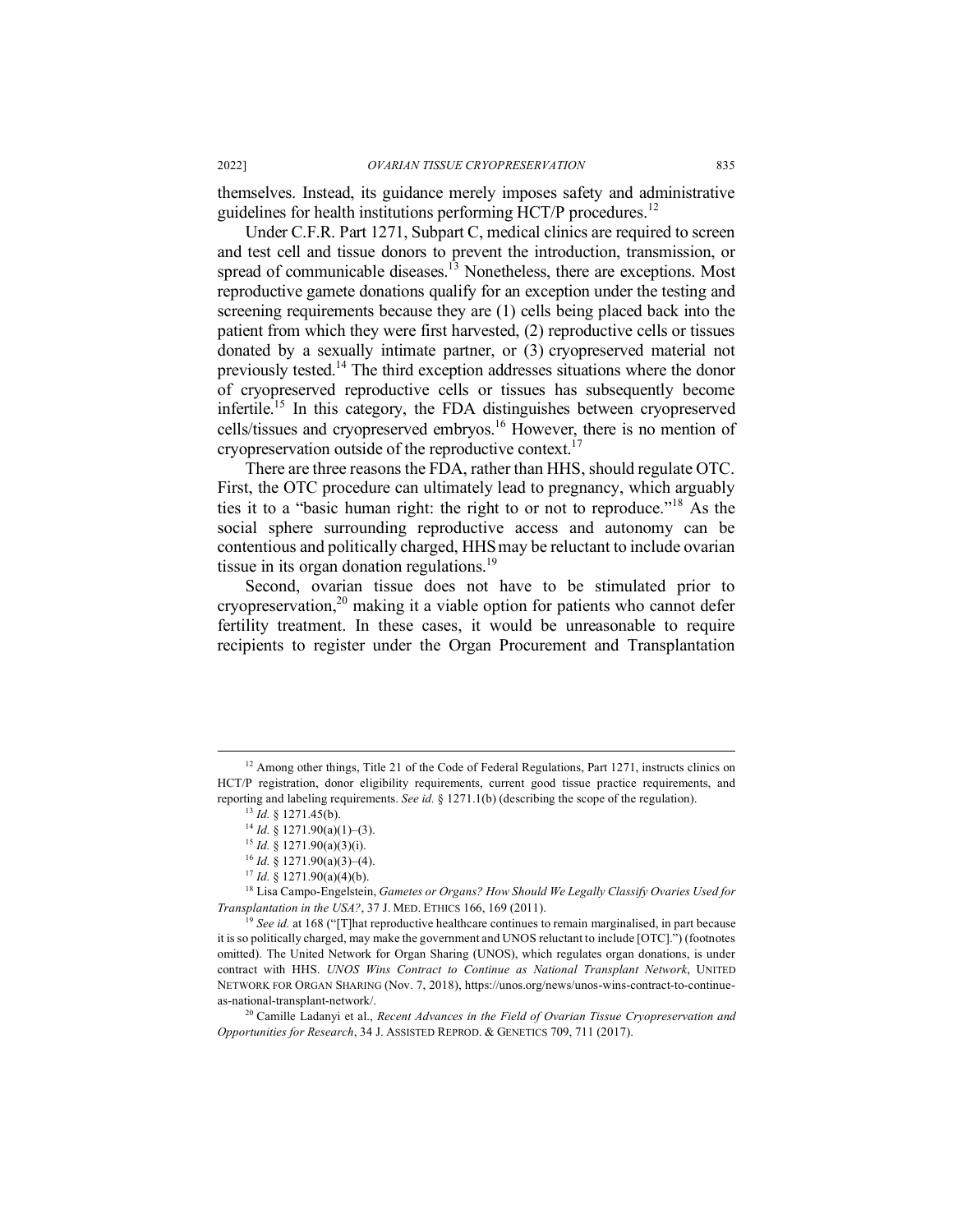themselves. Instead, its guidance merely imposes safety and administrative guidelines for health institutions performing HCT/P procedures.<sup>12</sup>

Under C.F.R. Part 1271, Subpart C, medical clinics are required to screen and test cell and tissue donors to prevent the introduction, transmission, or spread of communicable diseases.<sup>13</sup> Nonetheless, there are exceptions. Most reproductive gamete donations qualify for an exception under the testing and screening requirements because they are (1) cells being placed back into the patient from which they were first harvested, (2) reproductive cells or tissues donated by a sexually intimate partner, or (3) cryopreserved material not previously tested.14 The third exception addresses situations where the donor of cryopreserved reproductive cells or tissues has subsequently become infertile.15 In this category, the FDA distinguishes between cryopreserved cells/tissues and cryopreserved embryos.16 However, there is no mention of cryopreservation outside of the reproductive context.<sup>17</sup>

There are three reasons the FDA, rather than HHS, should regulate OTC. First, the OTC procedure can ultimately lead to pregnancy, which arguably ties it to a "basic human right: the right to or not to reproduce."<sup>18</sup> As the social sphere surrounding reproductive access and autonomy can be contentious and politically charged, HHS may be reluctant to include ovarian tissue in its organ donation regulations.<sup>19</sup>

Second, ovarian tissue does not have to be stimulated prior to cryopreservation, $20$  making it a viable option for patients who cannot defer fertility treatment. In these cases, it would be unreasonable to require recipients to register under the Organ Procurement and Transplantation

<sup>18</sup> Lisa Campo-Engelstein, *Gametes or Organs? How Should We Legally Classify Ovaries Used for Transplantation in the USA?*, 37 J. MED. ETHICS 166, 169 (2011).

<sup>19</sup> See id. at 168 ("[T]hat reproductive healthcare continues to remain marginalised, in part because it is so politically charged, may make the government and UNOS reluctant to include [OTC].") (footnotes omitted). The United Network for Organ Sharing (UNOS), which regulates organ donations, is under contract with HHS. *UNOS Wins Contract to Continue as National Transplant Network*, UNITED NETWORK FOR ORGAN SHARING (Nov. 7, 2018), https://unos.org/news/unos-wins-contract-to-continueas-national-transplant-network/. 20 Camille Ladanyi et al., *Recent Advances in the Field of Ovarian Tissue Cryopreservation and* 

*Opportunities for Research*, 34 J. ASSISTED REPROD. & GENETICS 709, 711 (2017).

<sup>&</sup>lt;sup>12</sup> Among other things, Title 21 of the Code of Federal Regulations, Part 1271, instructs clinics on HCT/P registration, donor eligibility requirements, current good tissue practice requirements, and reporting and labeling requirements. *See id.* § 1271.1(b) (describing the scope of the regulation).

<sup>13</sup> *Id.* § 1271.45(b).

 $14$  *Id.* § 1271.90(a)(1)–(3).

<sup>15</sup> *Id.* § 1271.90(a)(3)(i).

 $16$  *Id.* § 1271.90(a)(3)–(4).

 $17$  *Id.* § 1271.90(a)(4)(b).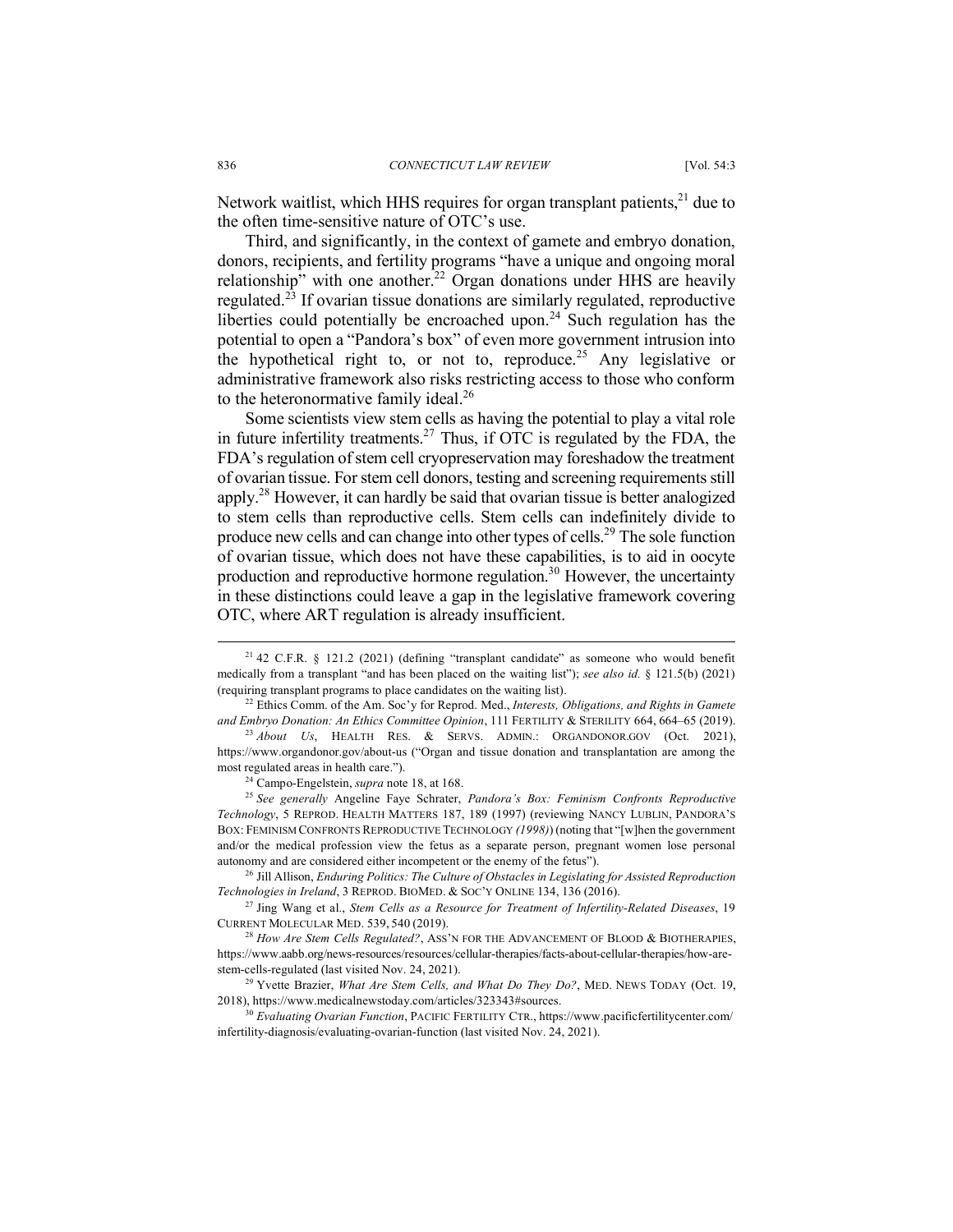Network waitlist, which HHS requires for organ transplant patients,<sup>21</sup> due to the often time-sensitive nature of OTC's use.

Third, and significantly, in the context of gamete and embryo donation, donors, recipients, and fertility programs "have a unique and ongoing moral relationship" with one another.<sup>22</sup> Organ donations under HHS are heavily regulated.<sup>23</sup> If ovarian tissue donations are similarly regulated, reproductive liberties could potentially be encroached upon.<sup>24</sup> Such regulation has the potential to open a "Pandora's box" of even more government intrusion into the hypothetical right to, or not to, reproduce.<sup>25</sup> Any legislative or administrative framework also risks restricting access to those who conform to the heteronormative family ideal.<sup>26</sup>

Some scientists view stem cells as having the potential to play a vital role in future infertility treatments.<sup>27</sup> Thus, if OTC is regulated by the FDA, the FDA's regulation of stem cell cryopreservation may foreshadow the treatment of ovarian tissue. For stem cell donors, testing and screening requirements still apply.28 However, it can hardly be said that ovarian tissue is better analogized to stem cells than reproductive cells. Stem cells can indefinitely divide to produce new cells and can change into other types of cells.29 The sole function of ovarian tissue, which does not have these capabilities, is to aid in oocyte production and reproductive hormone regulation.<sup>30</sup> However, the uncertainty in these distinctions could leave a gap in the legislative framework covering OTC, where ART regulation is already insufficient.

 $21$  42 C.F.R. § 121.2 (2021) (defining "transplant candidate" as someone who would benefit medically from a transplant "and has been placed on the waiting list"); *see also id.* § 121.5(b) (2021) (requiring transplant programs to place candidates on the waiting list).

<sup>22</sup> Ethics Comm. of the Am. Soc'y for Reprod. Med., *Interests, Obligations, and Rights in Gamete and Embryo Donation: An Ethics Committee Opinion*, 111 FERTILITY & STERILITY 664, 664–65 (2019).

<sup>23</sup> *About Us*, HEALTH RES. & SERVS. ADMIN.: ORGANDONOR.GOV (Oct. 2021), https://www.organdonor.gov/about-us ("Organ and tissue donation and transplantation are among the most regulated areas in health care.").

<sup>24</sup> Campo-Engelstein, *supra* note 18, at 168.

<sup>25</sup> *See generally* Angeline Faye Schrater, *Pandora's Box: Feminism Confronts Reproductive Technology*, 5 REPROD. HEALTH MATTERS 187, 189 (1997) (reviewing NANCY LUBLIN, PANDORA'S BOX: FEMINISM CONFRONTS REPRODUCTIVE TECHNOLOGY *(1998)*) (noting that "[w]hen the government and/or the medical profession view the fetus as a separate person, pregnant women lose personal autonomy and are considered either incompetent or the enemy of the fetus").

<sup>26</sup> Jill Allison, *Enduring Politics: The Culture of Obstacles in Legislating for Assisted Reproduction Technologies in Ireland*, 3 REPROD. BIOMED. & SOC'Y ONLINE 134, 136 (2016).

<sup>27</sup> Jing Wang et al., *Stem Cells as a Resource for Treatment of Infertility-Related Diseases*, 19 CURRENT MOLECULAR MED. 539, 540 (2019).

<sup>&</sup>lt;sup>28</sup> *How Are Stem Cells Regulated?*, ASS'N FOR THE ADVANCEMENT OF BLOOD & BIOTHERAPIES, https://www.aabb.org/news-resources/resources/cellular-therapies/facts-about-cellular-therapies/how-arestem-cells-regulated (last visited Nov. 24, 2021). 29 Yvette Brazier, *What Are Stem Cells, and What Do They Do?*, MED. NEWS TODAY (Oct. 19,

<sup>2018),</sup> https://www.medicalnewstoday.com/articles/323343#sources. 30 *Evaluating Ovarian Function*, PACIFIC FERTILITY CTR., https://www.pacificfertilitycenter.com/

infertility-diagnosis/evaluating-ovarian-function (last visited Nov. 24, 2021).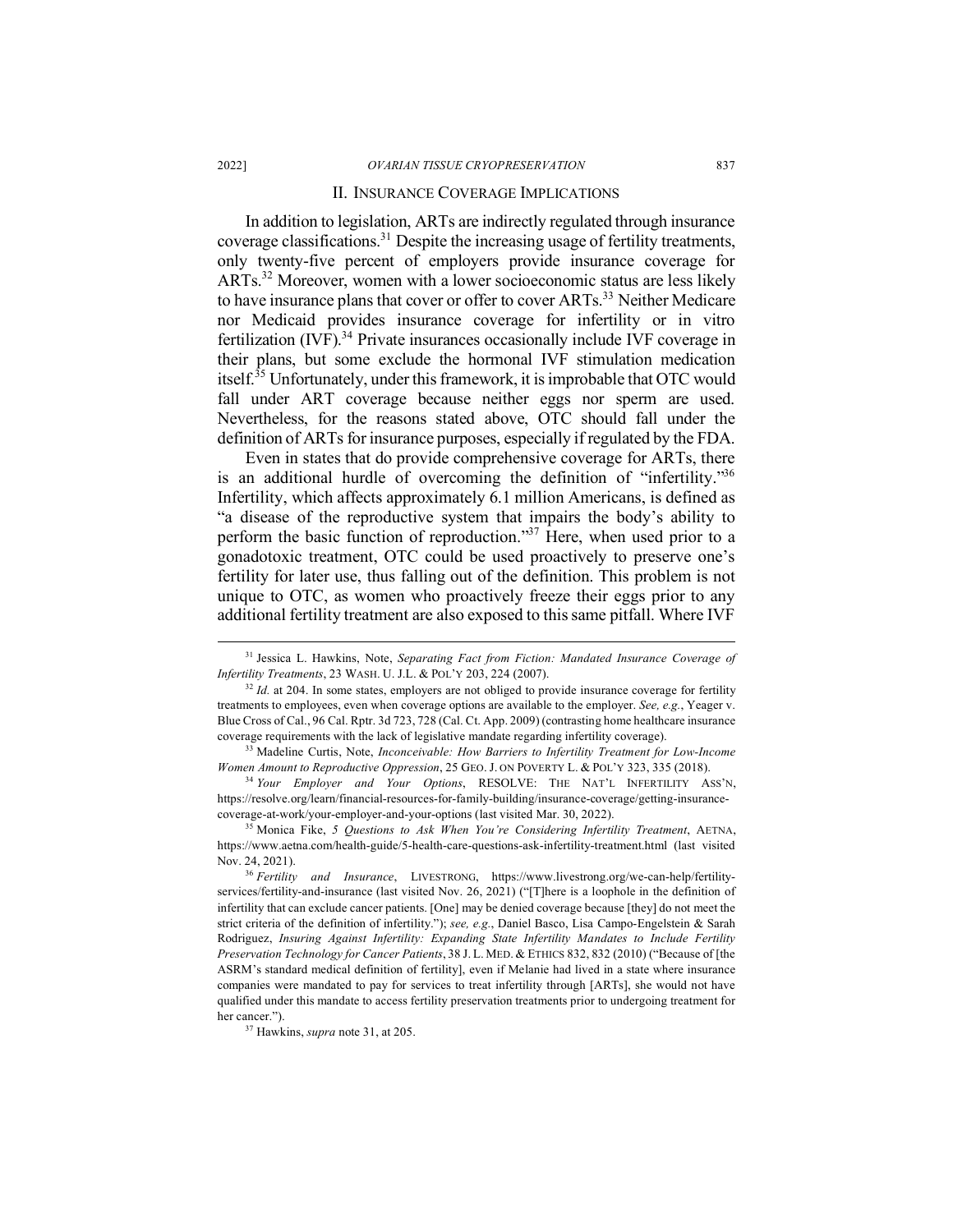#### II. INSURANCE COVERAGE IMPLICATIONS

In addition to legislation, ARTs are indirectly regulated through insurance coverage classifications.31 Despite the increasing usage of fertility treatments, only twenty-five percent of employers provide insurance coverage for ARTs.32 Moreover, women with a lower socioeconomic status are less likely to have insurance plans that cover or offer to cover ARTs.<sup>33</sup> Neither Medicare nor Medicaid provides insurance coverage for infertility or in vitro fertilization  $(IVF)$ .<sup>34</sup> Private insurances occasionally include IVF coverage in their plans, but some exclude the hormonal IVF stimulation medication itself.<sup>35</sup> Unfortunately, under this framework, it is improbable that OTC would fall under ART coverage because neither eggs nor sperm are used. Nevertheless, for the reasons stated above, OTC should fall under the definition of ARTs for insurance purposes, especially if regulated by the FDA.

Even in states that do provide comprehensive coverage for ARTs, there is an additional hurdle of overcoming the definition of "infertility."<sup>36</sup> Infertility, which affects approximately 6.1 million Americans, is defined as "a disease of the reproductive system that impairs the body's ability to perform the basic function of reproduction." $37$  Here, when used prior to a gonadotoxic treatment, OTC could be used proactively to preserve one's fertility for later use, thus falling out of the definition. This problem is not unique to OTC, as women who proactively freeze their eggs prior to any additional fertility treatment are also exposed to this same pitfall. Where IVF

<sup>34</sup> *Your Employer and Your Options*, RESOLVE: THE NAT'L INFERTILITY ASS'N, https://resolve.org/learn/financial-resources-for-family-building/insurance-coverage/getting-insurancecoverage-at-work/your-employer-and-your-options (last visited Mar. 30, 2022).

 <sup>31</sup> Jessica L. Hawkins, Note, *Separating Fact from Fiction: Mandated Insurance Coverage of Infertility Treatments*, 23 WASH. U. J.L. & POL'Y 203, 224 (2007).

<sup>&</sup>lt;sup>32</sup> *Id.* at 204. In some states, employers are not obliged to provide insurance coverage for fertility treatments to employees, even when coverage options are available to the employer. *See, e.g.*, Yeager v. Blue Cross of Cal., 96 Cal. Rptr. 3d 723, 728 (Cal. Ct. App. 2009) (contrasting home healthcare insurance coverage requirements with the lack of legislative mandate regarding infertility coverage). 33 Madeline Curtis, Note, *Inconceivable: How Barriers to Infertility Treatment for Low-Income* 

*Women Amount to Reproductive Oppression*, 25 GEO. J. ON POVERTY L. & POL'Y 323, 335 (2018).

<sup>35</sup> Monica Fike, *5 Questions to Ask When You're Considering Infertility Treatment*, AETNA, https://www.aetna.com/health-guide/5-health-care-questions-ask-infertility-treatment.html (last visited Nov. 24, 2021).

<sup>36</sup> *Fertility and Insurance*, LIVESTRONG, https://www.livestrong.org/we-can-help/fertilityservices/fertility-and-insurance (last visited Nov. 26, 2021) ("[T]here is a loophole in the definition of infertility that can exclude cancer patients. [One] may be denied coverage because [they] do not meet the strict criteria of the definition of infertility."); *see, e.g.*, Daniel Basco, Lisa Campo-Engelstein & Sarah Rodriguez, *Insuring Against Infertility: Expanding State Infertility Mandates to Include Fertility Preservation Technology for Cancer Patients*, 38 J. L. MED. & ETHICS 832, 832 (2010) ("Because of [the ASRM's standard medical definition of fertility], even if Melanie had lived in a state where insurance companies were mandated to pay for services to treat infertility through [ARTs], she would not have qualified under this mandate to access fertility preservation treatments prior to undergoing treatment for her cancer.").

<sup>37</sup> Hawkins, *supra* note 31, at 205.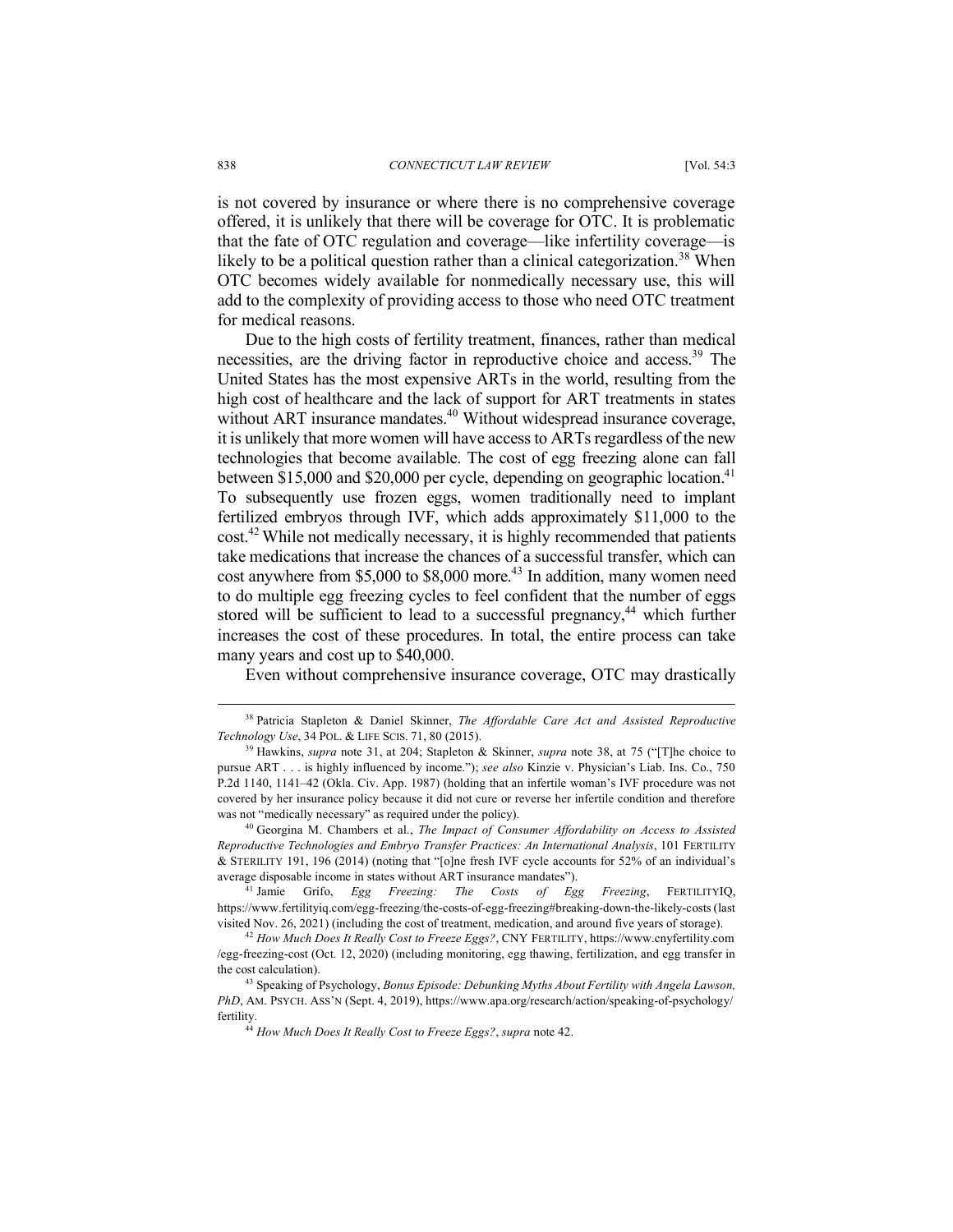is not covered by insurance or where there is no comprehensive coverage offered, it is unlikely that there will be coverage for OTC. It is problematic that the fate of OTC regulation and coverage—like infertility coverage—is likely to be a political question rather than a clinical categorization.<sup>38</sup> When OTC becomes widely available for nonmedically necessary use, this will add to the complexity of providing access to those who need OTC treatment for medical reasons.

Due to the high costs of fertility treatment, finances, rather than medical necessities, are the driving factor in reproductive choice and access.<sup>39</sup> The United States has the most expensive ARTs in the world, resulting from the high cost of healthcare and the lack of support for ART treatments in states without ART insurance mandates.<sup>40</sup> Without widespread insurance coverage, it is unlikely that more women will have access to ARTs regardless of the new technologies that become available. The cost of egg freezing alone can fall between  $$15,000$  and  $$20,000$  per cycle, depending on geographic location.<sup>41</sup> To subsequently use frozen eggs, women traditionally need to implant fertilized embryos through IVF, which adds approximately \$11,000 to the cost.42 While not medically necessary, it is highly recommended that patients take medications that increase the chances of a successful transfer, which can cost anywhere from  $$5,000$  to  $$8,000$  more.<sup>43</sup> In addition, many women need to do multiple egg freezing cycles to feel confident that the number of eggs stored will be sufficient to lead to a successful pregnancy,<sup>44</sup> which further increases the cost of these procedures. In total, the entire process can take many years and cost up to \$40,000.

Even without comprehensive insurance coverage, OTC may drastically

<sup>41</sup> Jamie Grifo, *Egg Freezing: The Costs of Egg Freezing*, FERTILITYIQ, https://www.fertilityiq.com/egg-freezing/the-costs-of-egg-freezing#breaking-down-the-likely-costs (last visited Nov. 26, 2021) (including the cost of treatment, medication, and around five years of storage).<br><sup>42</sup> How Much Does It Really Cost to Freeze Eggs?, CNY FERTILITY, https://www.cnyfertility.com

 <sup>38</sup> Patricia Stapleton & Daniel Skinner, *The Affordable Care Act and Assisted Reproductive Technology Use*, 34 POL. & LIFE SCIS. 71, 80 (2015).

<sup>39</sup> Hawkins, *supra* note 31, at 204; Stapleton & Skinner, *supra* note 38, at 75 ("[T]he choice to pursue ART . . . is highly influenced by income."); *see also* Kinzie v. Physician's Liab. Ins. Co., 750 P.2d 1140, 1141–42 (Okla. Civ. App. 1987) (holding that an infertile woman's IVF procedure was not covered by her insurance policy because it did not cure or reverse her infertile condition and therefore was not "medically necessary" as required under the policy).

<sup>40</sup> Georgina M. Chambers et al., *The Impact of Consumer Affordability on Access to Assisted Reproductive Technologies and Embryo Transfer Practices: An International Analysis*, 101 FERTILITY & STERILITY 191, 196 (2014) (noting that "[o]ne fresh IVF cycle accounts for 52% of an individual's average disposable income in states without ART insurance mandates").<br><sup>41</sup> Jamie Grifo. *Egg Freezing: The Costs of Eg* 

<sup>/</sup>egg-freezing-cost (Oct. 12, 2020) (including monitoring, egg thawing, fertilization, and egg transfer in the cost calculation). 43 Speaking of Psychology, *Bonus Episode: Debunking Myths About Fertility with Angela Lawson,* 

*PhD*, AM. PSYCH. ASS'N (Sept. 4, 2019), https://www.apa.org/research/action/speaking-of-psychology/ fertility.

<sup>44</sup> *How Much Does It Really Cost to Freeze Eggs?*, *supra* note 42.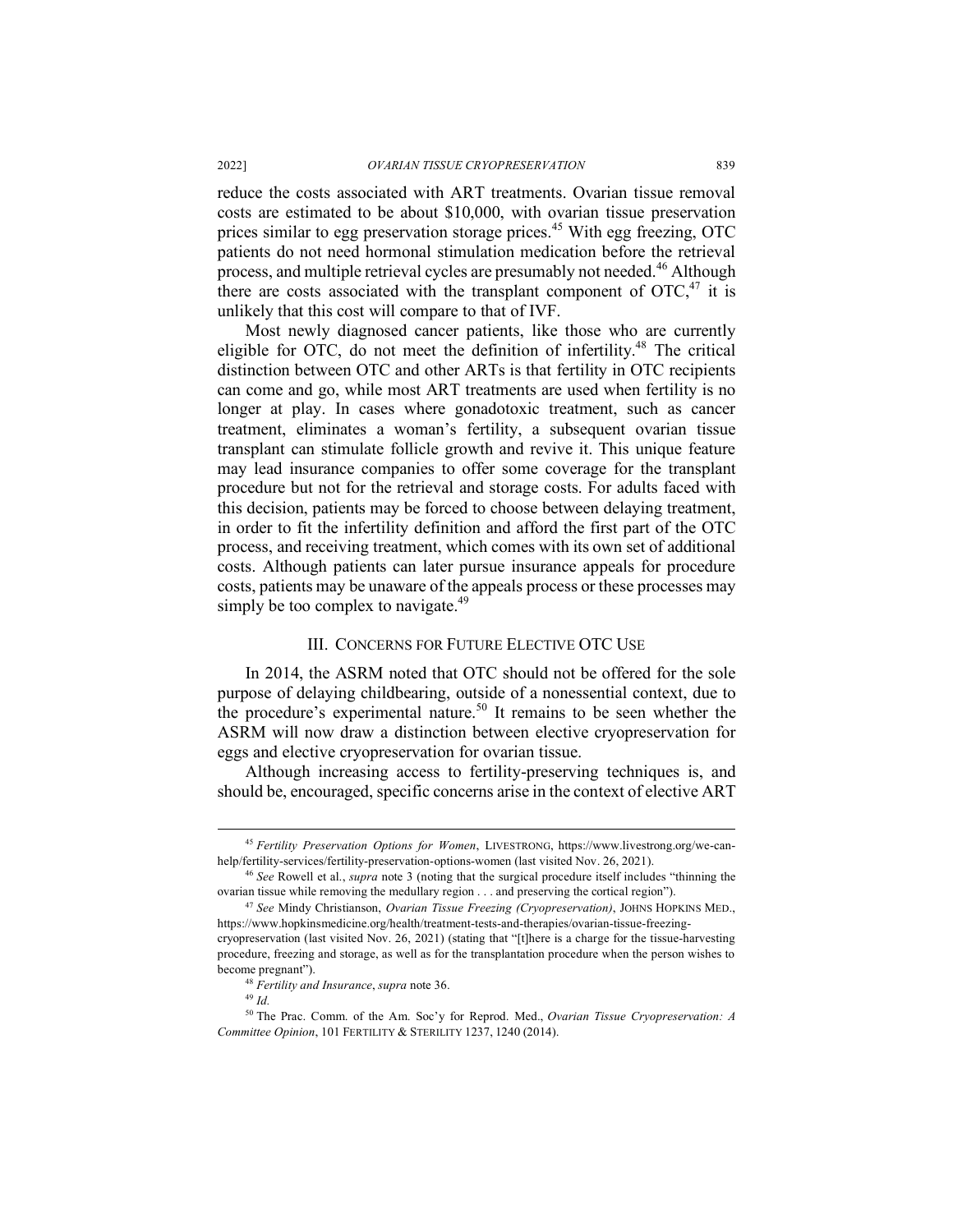reduce the costs associated with ART treatments. Ovarian tissue removal costs are estimated to be about \$10,000, with ovarian tissue preservation prices similar to egg preservation storage prices.<sup>45</sup> With egg freezing, OTC patients do not need hormonal stimulation medication before the retrieval process, and multiple retrieval cycles are presumably not needed.<sup>46</sup> Although there are costs associated with the transplant component of  $\text{OTC}^{47}$  it is unlikely that this cost will compare to that of IVF.

Most newly diagnosed cancer patients, like those who are currently eligible for OTC, do not meet the definition of infertility.48 The critical distinction between OTC and other ARTs is that fertility in OTC recipients can come and go, while most ART treatments are used when fertility is no longer at play. In cases where gonadotoxic treatment, such as cancer treatment, eliminates a woman's fertility, a subsequent ovarian tissue transplant can stimulate follicle growth and revive it. This unique feature may lead insurance companies to offer some coverage for the transplant procedure but not for the retrieval and storage costs. For adults faced with this decision, patients may be forced to choose between delaying treatment, in order to fit the infertility definition and afford the first part of the OTC process, and receiving treatment, which comes with its own set of additional costs. Although patients can later pursue insurance appeals for procedure costs, patients may be unaware of the appeals process or these processes may simply be too complex to navigate. $49$ 

#### III. CONCERNS FOR FUTURE ELECTIVE OTC USE

In 2014, the ASRM noted that OTC should not be offered for the sole purpose of delaying childbearing, outside of a nonessential context, due to the procedure's experimental nature.<sup>50</sup> It remains to be seen whether the ASRM will now draw a distinction between elective cryopreservation for eggs and elective cryopreservation for ovarian tissue.

Although increasing access to fertility-preserving techniques is, and should be, encouraged, specific concerns arise in the context of elective ART

 <sup>45</sup> *Fertility Preservation Options for Women*, LIVESTRONG, https://www.livestrong.org/we-canhelp/fertility-services/fertility-preservation-options-women (last visited Nov. 26, 2021).

<sup>46</sup> *See* Rowell et al., *supra* note 3 (noting that the surgical procedure itself includes "thinning the ovarian tissue while removing the medullary region . . . and preserving the cortical region").

<sup>47</sup> *See* Mindy Christianson, *Ovarian Tissue Freezing (Cryopreservation)*, JOHNS HOPKINS MED., https://www.hopkinsmedicine.org/health/treatment-tests-and-therapies/ovarian-tissue-freezingcryopreservation (last visited Nov. 26, 2021) (stating that "[t]here is a charge for the tissue-harvesting procedure, freezing and storage, as well as for the transplantation procedure when the person wishes to become pregnant").

<sup>48</sup> *Fertility and Insurance*, *supra* note 36.

<sup>49</sup> *Id.*

<sup>50</sup> The Prac. Comm. of the Am. Soc'y for Reprod. Med., *Ovarian Tissue Cryopreservation: A Committee Opinion*, 101 FERTILITY & STERILITY 1237, 1240 (2014).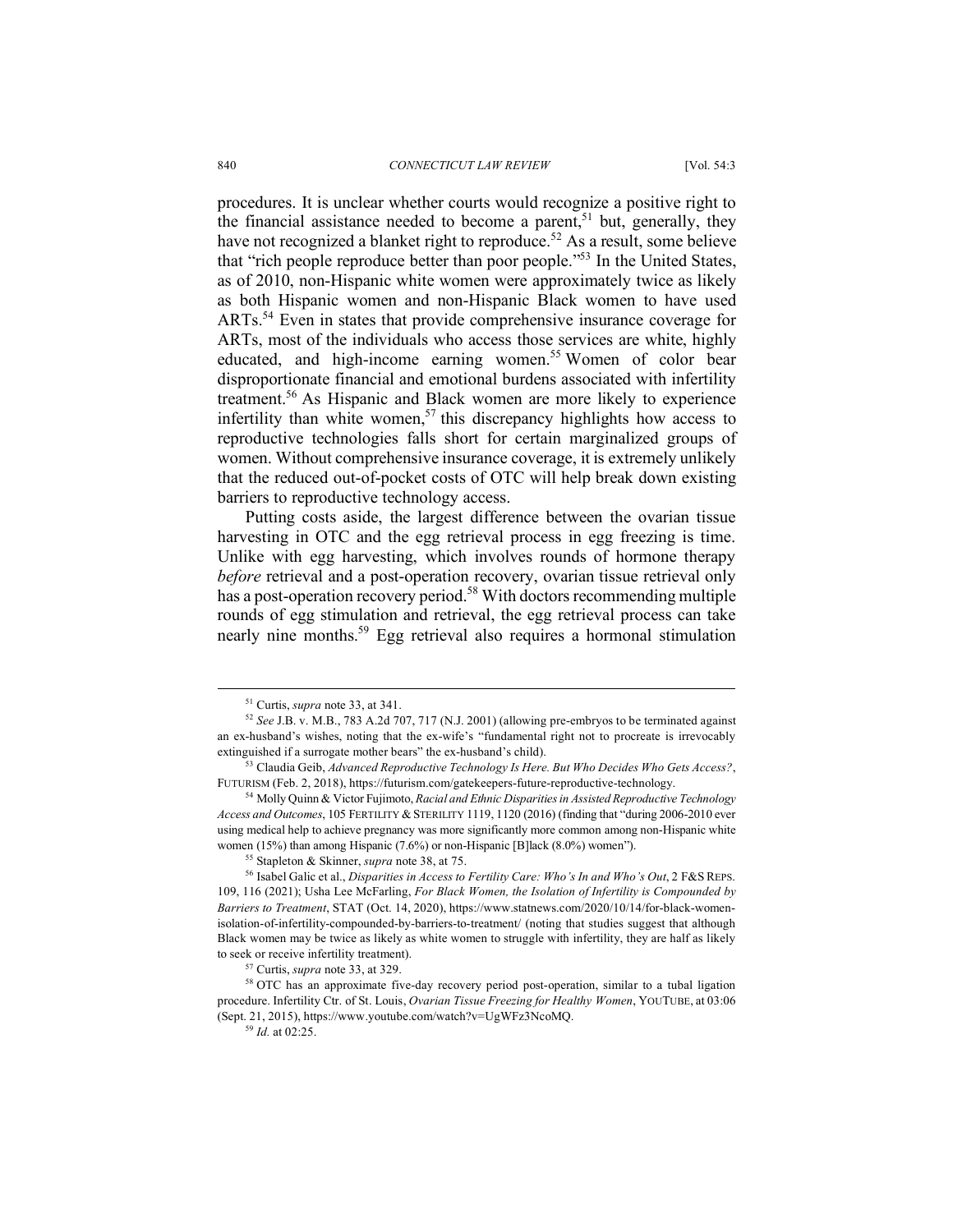procedures. It is unclear whether courts would recognize a positive right to the financial assistance needed to become a parent,<sup>51</sup> but, generally, they have not recognized a blanket right to reproduce.<sup>52</sup> As a result, some believe that "rich people reproduce better than poor people."53 In the United States, as of 2010, non-Hispanic white women were approximately twice as likely as both Hispanic women and non-Hispanic Black women to have used ARTs.<sup>54</sup> Even in states that provide comprehensive insurance coverage for ARTs, most of the individuals who access those services are white, highly educated, and high-income earning women.<sup>55</sup> Women of color bear disproportionate financial and emotional burdens associated with infertility treatment.56 As Hispanic and Black women are more likely to experience infertility than white women,<sup>57</sup> this discrepancy highlights how access to reproductive technologies falls short for certain marginalized groups of women. Without comprehensive insurance coverage, it is extremely unlikely that the reduced out-of-pocket costs of OTC will help break down existing barriers to reproductive technology access.

Putting costs aside, the largest difference between the ovarian tissue harvesting in OTC and the egg retrieval process in egg freezing is time. Unlike with egg harvesting, which involves rounds of hormone therapy *before* retrieval and a post-operation recovery, ovarian tissue retrieval only has a post-operation recovery period.<sup>58</sup> With doctors recommending multiple rounds of egg stimulation and retrieval, the egg retrieval process can take nearly nine months.59 Egg retrieval also requires a hormonal stimulation

 <sup>51</sup> Curtis, *supra* note 33, at 341.

<sup>52</sup> *See* J.B. v. M.B., 783 A.2d 707, 717 (N.J. 2001) (allowing pre-embryos to be terminated against an ex-husband's wishes, noting that the ex-wife's "fundamental right not to procreate is irrevocably extinguished if a surrogate mother bears" the ex-husband's child).

<sup>53</sup> Claudia Geib, *Advanced Reproductive Technology Is Here. But Who Decides Who Gets Access?*, FUTURISM (Feb. 2, 2018), https://futurism.com/gatekeepers-future-reproductive-technology.

<sup>54</sup> Molly Quinn & Victor Fujimoto, *Racial and Ethnic Disparities in Assisted Reproductive Technology Access and Outcomes*, 105 FERTILITY & STERILITY 1119, 1120 (2016) (finding that "during 2006-2010 ever using medical help to achieve pregnancy was more significantly more common among non-Hispanic white women (15%) than among Hispanic (7.6%) or non-Hispanic [B]lack (8.0%) women").

<sup>55</sup> Stapleton & Skinner, *supra* note 38, at 75.

<sup>56</sup> Isabel Galic et al., *Disparities in Access to Fertility Care: Who's In and Who's Out*, 2 F&S REPS. 109, 116 (2021); Usha Lee McFarling, *For Black Women, the Isolation of Infertility is Compounded by Barriers to Treatment*, STAT (Oct. 14, 2020), https://www.statnews.com/2020/10/14/for-black-womenisolation-of-infertility-compounded-by-barriers-to-treatment/ (noting that studies suggest that although Black women may be twice as likely as white women to struggle with infertility, they are half as likely to seek or receive infertility treatment). 57 Curtis, *supra* note 33, at 329.

<sup>&</sup>lt;sup>58</sup> OTC has an approximate five-day recovery period post-operation, similar to a tubal ligation procedure. Infertility Ctr. of St. Louis, *Ovarian Tissue Freezing for Healthy Women*, YOUTUBE, at 03:06 (Sept. 21, 2015), https://www.youtube.com/watch?v=UgWFz3NcoMQ.

<sup>59</sup> *Id.* at 02:25.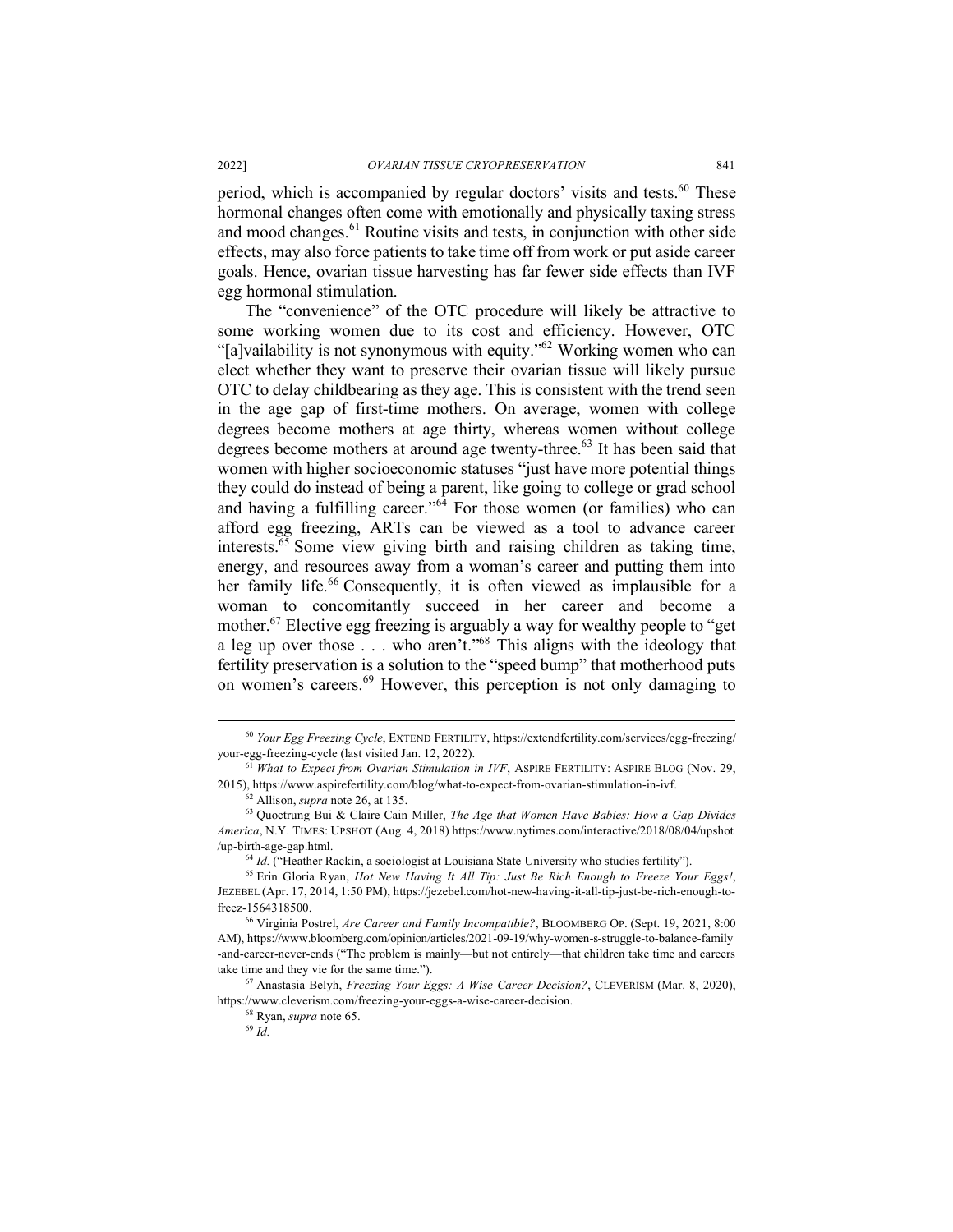period, which is accompanied by regular doctors' visits and tests.<sup>60</sup> These hormonal changes often come with emotionally and physically taxing stress and mood changes.<sup>61</sup> Routine visits and tests, in conjunction with other side effects, may also force patients to take time off from work or put aside career goals. Hence, ovarian tissue harvesting has far fewer side effects than IVF egg hormonal stimulation.

The "convenience" of the OTC procedure will likely be attractive to some working women due to its cost and efficiency. However, OTC "[a]vailability is not synonymous with equity."62 Working women who can elect whether they want to preserve their ovarian tissue will likely pursue OTC to delay childbearing as they age. This is consistent with the trend seen in the age gap of first-time mothers. On average, women with college degrees become mothers at age thirty, whereas women without college degrees become mothers at around age twenty-three.<sup>63</sup> It has been said that women with higher socioeconomic statuses "just have more potential things" they could do instead of being a parent, like going to college or grad school and having a fulfilling career."<sup>64</sup> For those women (or families) who can afford egg freezing, ARTs can be viewed as a tool to advance career interests.65 Some view giving birth and raising children as taking time, energy, and resources away from a woman's career and putting them into her family life.<sup>66</sup> Consequently, it is often viewed as implausible for a woman to concomitantly succeed in her career and become a mother.67 Elective egg freezing is arguably a way for wealthy people to "get a leg up over those  $\ldots$  who aren't."<sup>68</sup> This aligns with the ideology that fertility preservation is a solution to the "speed bump" that motherhood puts on women's careers.<sup>69</sup> However, this perception is not only damaging to

<sup>64</sup> *Id.* ("Heather Rackin, a sociologist at Louisiana State University who studies fertility").

 <sup>60</sup> *Your Egg Freezing Cycle*, EXTEND FERTILITY, https://extendfertility.com/services/egg-freezing/ your-egg-freezing-cycle (last visited Jan. 12, 2022).

<sup>61</sup> *What to Expect from Ovarian Stimulation in IVF*, ASPIRE FERTILITY: ASPIRE BLOG (Nov. 29, 2015), https://www.aspirefertility.com/blog/what-to-expect-from-ovarian-stimulation-in-ivf.

<sup>62</sup> Allison, *supra* note 26, at 135.

<sup>63</sup> Quoctrung Bui & Claire Cain Miller, *The Age that Women Have Babies: How a Gap Divides America*, N.Y. TIMES: UPSHOT (Aug. 4, 2018) https://www.nytimes.com/interactive/2018/08/04/upshot /up-birth-age-gap.html.

<sup>65</sup> Erin Gloria Ryan, *Hot New Having It All Tip: Just Be Rich Enough to Freeze Your Eggs!*, JEZEBEL (Apr. 17, 2014, 1:50 PM), https://jezebel.com/hot-new-having-it-all-tip-just-be-rich-enough-tofreez-1564318500.

<sup>66</sup> Virginia Postrel, *Are Career and Family Incompatible?*, BLOOMBERG OP. (Sept. 19, 2021, 8:00 AM), https://www.bloomberg.com/opinion/articles/2021-09-19/why-women-s-struggle-to-balance-family -and-career-never-ends ("The problem is mainly—but not entirely—that children take time and careers take time and they vie for the same time.").

<sup>67</sup> Anastasia Belyh, *Freezing Your Eggs: A Wise Career Decision?*, CLEVERISM (Mar. 8, 2020), https://www.cleverism.com/freezing-your-eggs-a-wise-career-decision.

<sup>68</sup> Ryan, *supra* note 65. 69 *Id.*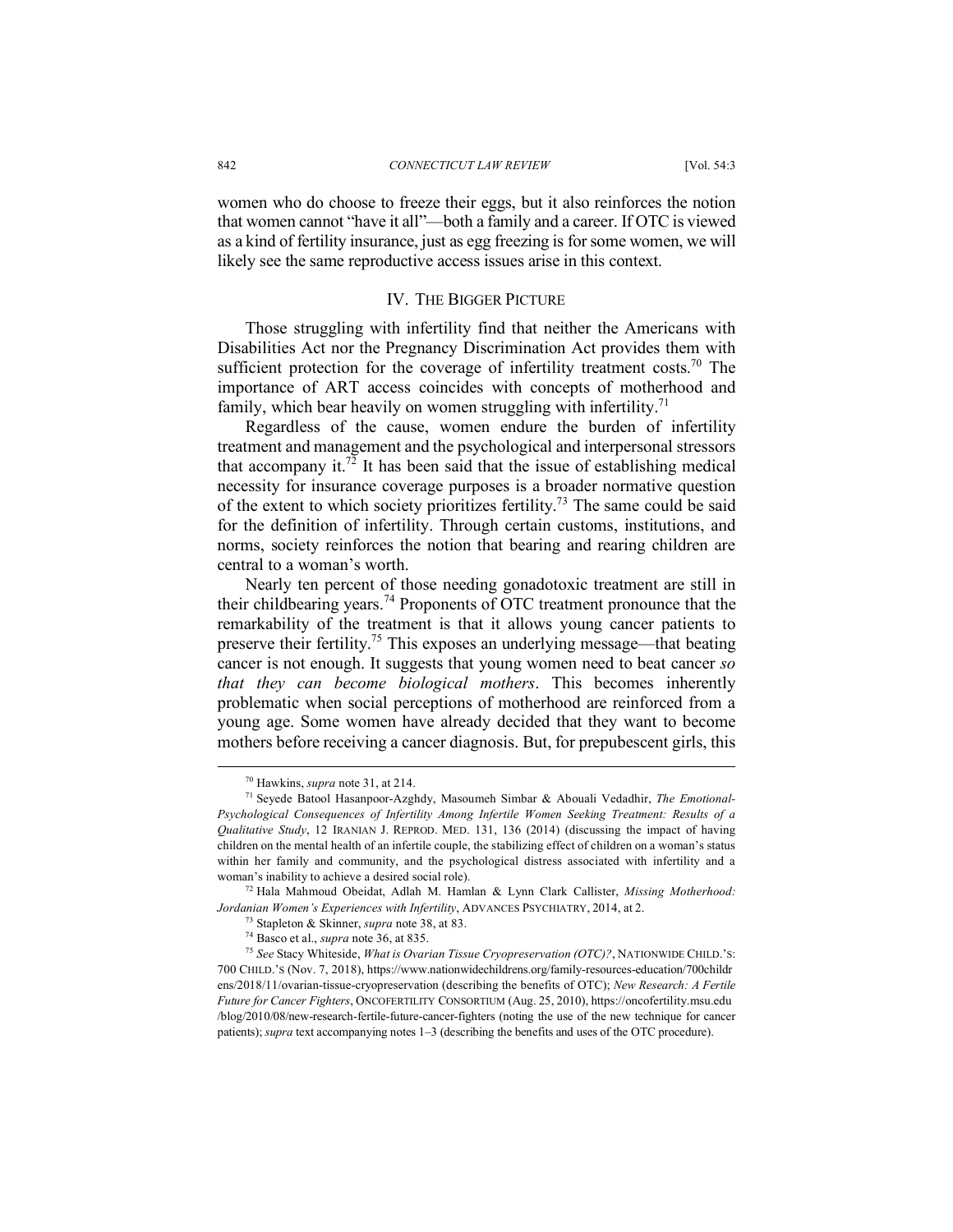women who do choose to freeze their eggs, but it also reinforces the notion that women cannot "have it all"—both a family and a career. If OTC is viewed as a kind of fertility insurance, just as egg freezing is for some women, we will likely see the same reproductive access issues arise in this context.

#### IV. THE BIGGER PICTURE

Those struggling with infertility find that neither the Americans with Disabilities Act nor the Pregnancy Discrimination Act provides them with sufficient protection for the coverage of infertility treatment costs.<sup>70</sup> The importance of ART access coincides with concepts of motherhood and family, which bear heavily on women struggling with infertility.<sup>71</sup>

Regardless of the cause, women endure the burden of infertility treatment and management and the psychological and interpersonal stressors that accompany it.<sup>72</sup> It has been said that the issue of establishing medical necessity for insurance coverage purposes is a broader normative question of the extent to which society prioritizes fertility.73 The same could be said for the definition of infertility. Through certain customs, institutions, and norms, society reinforces the notion that bearing and rearing children are central to a woman's worth.

Nearly ten percent of those needing gonadotoxic treatment are still in their childbearing years.<sup>74</sup> Proponents of OTC treatment pronounce that the remarkability of the treatment is that it allows young cancer patients to preserve their fertility.75 This exposes an underlying message—that beating cancer is not enough. It suggests that young women need to beat cancer *so that they can become biological mothers*. This becomes inherently problematic when social perceptions of motherhood are reinforced from a young age. Some women have already decided that they want to become mothers before receiving a cancer diagnosis. But, for prepubescent girls, this

 <sup>70</sup> Hawkins, *supra* note 31, at 214.

<sup>71</sup> Seyede Batool Hasanpoor-Azghdy, Masoumeh Simbar & Abouali Vedadhir, *The Emotional-Psychological Consequences of Infertility Among Infertile Women Seeking Treatment: Results of a Qualitative Study*, 12 IRANIAN J. REPROD. MED. 131, 136 (2014) (discussing the impact of having children on the mental health of an infertile couple, the stabilizing effect of children on a woman's status within her family and community, and the psychological distress associated with infertility and a woman's inability to achieve a desired social role).

<sup>72</sup> Hala Mahmoud Obeidat, Adlah M. Hamlan & Lynn Clark Callister, *Missing Motherhood: Jordanian Women's Experiences with Infertility*, ADVANCES PSYCHIATRY, 2014, at 2.

<sup>73</sup> Stapleton & Skinner, *supra* note 38, at 83.

<sup>74</sup> Basco et al., *supra* note 36, at 835.

<sup>75</sup> *See* Stacy Whiteside, *What is Ovarian Tissue Cryopreservation (OTC)?*, NATIONWIDE CHILD.'S: 700 CHILD.'S (Nov. 7, 2018), https://www.nationwidechildrens.org/family-resources-education/700childr ens/2018/11/ovarian-tissue-cryopreservation (describing the benefits of OTC); *New Research: A Fertile Future for Cancer Fighters*, ONCOFERTILITY CONSORTIUM (Aug. 25, 2010), https://oncofertility.msu.edu /blog/2010/08/new-research-fertile-future-cancer-fighters (noting the use of the new technique for cancer patients); *supra* text accompanying notes 1–3 (describing the benefits and uses of the OTC procedure).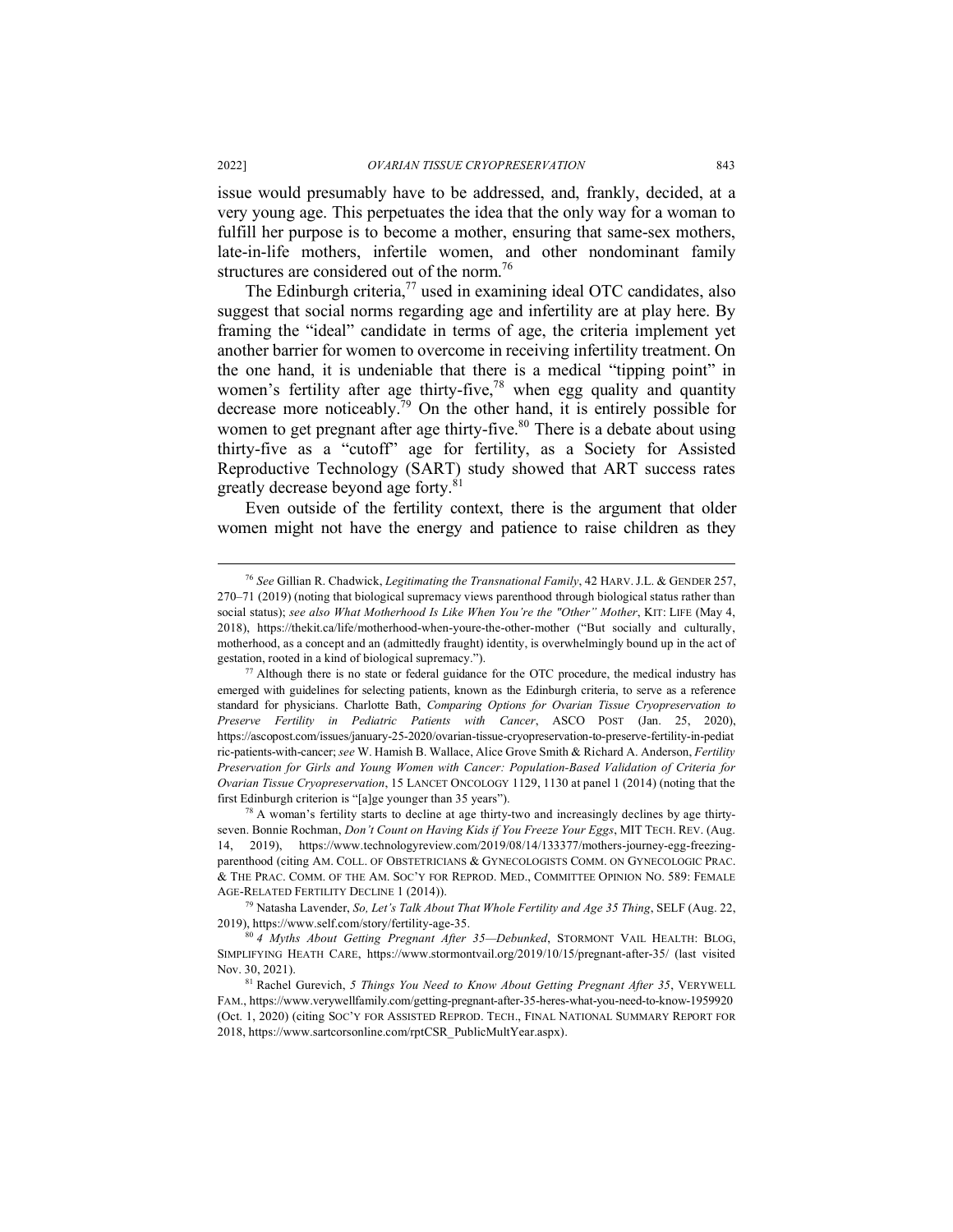issue would presumably have to be addressed, and, frankly, decided, at a very young age. This perpetuates the idea that the only way for a woman to fulfill her purpose is to become a mother, ensuring that same-sex mothers, late-in-life mothers, infertile women, and other nondominant family structures are considered out of the norm.<sup>76</sup>

The Edinburgh criteria, $77$  used in examining ideal OTC candidates, also suggest that social norms regarding age and infertility are at play here. By framing the "ideal" candidate in terms of age, the criteria implement yet another barrier for women to overcome in receiving infertility treatment. On the one hand, it is undeniable that there is a medical "tipping point" in women's fertility after age thirty-five, $78$  when egg quality and quantity decrease more noticeably.79 On the other hand, it is entirely possible for women to get pregnant after age thirty-five.<sup>80</sup> There is a debate about using thirty-five as a "cutoff" age for fertility, as a Society for Assisted Reproductive Technology (SART) study showed that ART success rates greatly decrease beyond age forty.<sup>81</sup>

Even outside of the fertility context, there is the argument that older women might not have the energy and patience to raise children as they

 <sup>76</sup> *See* Gillian R. Chadwick, *Legitimating the Transnational Family*, 42 HARV.J.L. & GENDER 257, 270–71 (2019) (noting that biological supremacy views parenthood through biological status rather than social status); *see also What Motherhood Is Like When You're the "Other" Mother*, KIT: LIFE (May 4, 2018), https://thekit.ca/life/motherhood-when-youre-the-other-mother ("But socially and culturally, motherhood, as a concept and an (admittedly fraught) identity, is overwhelmingly bound up in the act of gestation, rooted in a kind of biological supremacy.").

<sup>77</sup> Although there is no state or federal guidance for the OTC procedure, the medical industry has emerged with guidelines for selecting patients, known as the Edinburgh criteria, to serve as a reference standard for physicians. Charlotte Bath, *Comparing Options for Ovarian Tissue Cryopreservation to Preserve Fertility in Pediatric Patients with Cancer*, ASCO POST (Jan. 25, 2020), https://ascopost.com/issues/january-25-2020/ovarian-tissue-cryopreservation-to-preserve-fertility-in-pediat ric-patients-with-cancer; *see* W. Hamish B. Wallace, Alice Grove Smith & Richard A. Anderson, *Fertility Preservation for Girls and Young Women with Cancer: Population-Based Validation of Criteria for Ovarian Tissue Cryopreservation*, 15 LANCET ONCOLOGY 1129, 1130 at panel 1 (2014) (noting that the first Edinburgh criterion is "[a]ge younger than 35 years").<br><sup>78</sup> A woman's fertility starts to decline at age thirty-two and increasingly declines by age thirty-

seven. Bonnie Rochman, *Don't Count on Having Kids if You Freeze Your Eggs*, MIT TECH. REV. (Aug. 14, 2019), https://www.technologyreview.com/2019/08/14/133377/mothers-journey-egg-freezingparenthood (citing AM. COLL. OF OBSTETRICIANS & GYNECOLOGISTS COMM. ON GYNECOLOGIC PRAC. & THE PRAC. COMM. OF THE AM. SOC'Y FOR REPROD. MED., COMMITTEE OPINION NO. 589: FEMALE AGE-RELATED FERTILITY DECLINE 1 (2014)).

<sup>79</sup> Natasha Lavender, *So, Let's Talk About That Whole Fertility and Age 35 Thing*, SELF (Aug. 22, 2019), https://www.self.com/story/fertility-age-35.

<sup>80</sup> *4 Myths About Getting Pregnant After 35—Debunked*, STORMONT VAIL HEALTH: BLOG, SIMPLIFYING HEATH CARE, https://www.stormontvail.org/2019/10/15/pregnant-after-35/ (last visited Nov. 30, 2021).

<sup>81</sup> Rachel Gurevich, *5 Things You Need to Know About Getting Pregnant After 35*, VERYWELL FAM., https://www.verywellfamily.com/getting-pregnant-after-35-heres-what-you-need-to-know-1959920 (Oct. 1, 2020) (citing SOC'Y FOR ASSISTED REPROD. TECH., FINAL NATIONAL SUMMARY REPORT FOR 2018, https://www.sartcorsonline.com/rptCSR\_PublicMultYear.aspx).